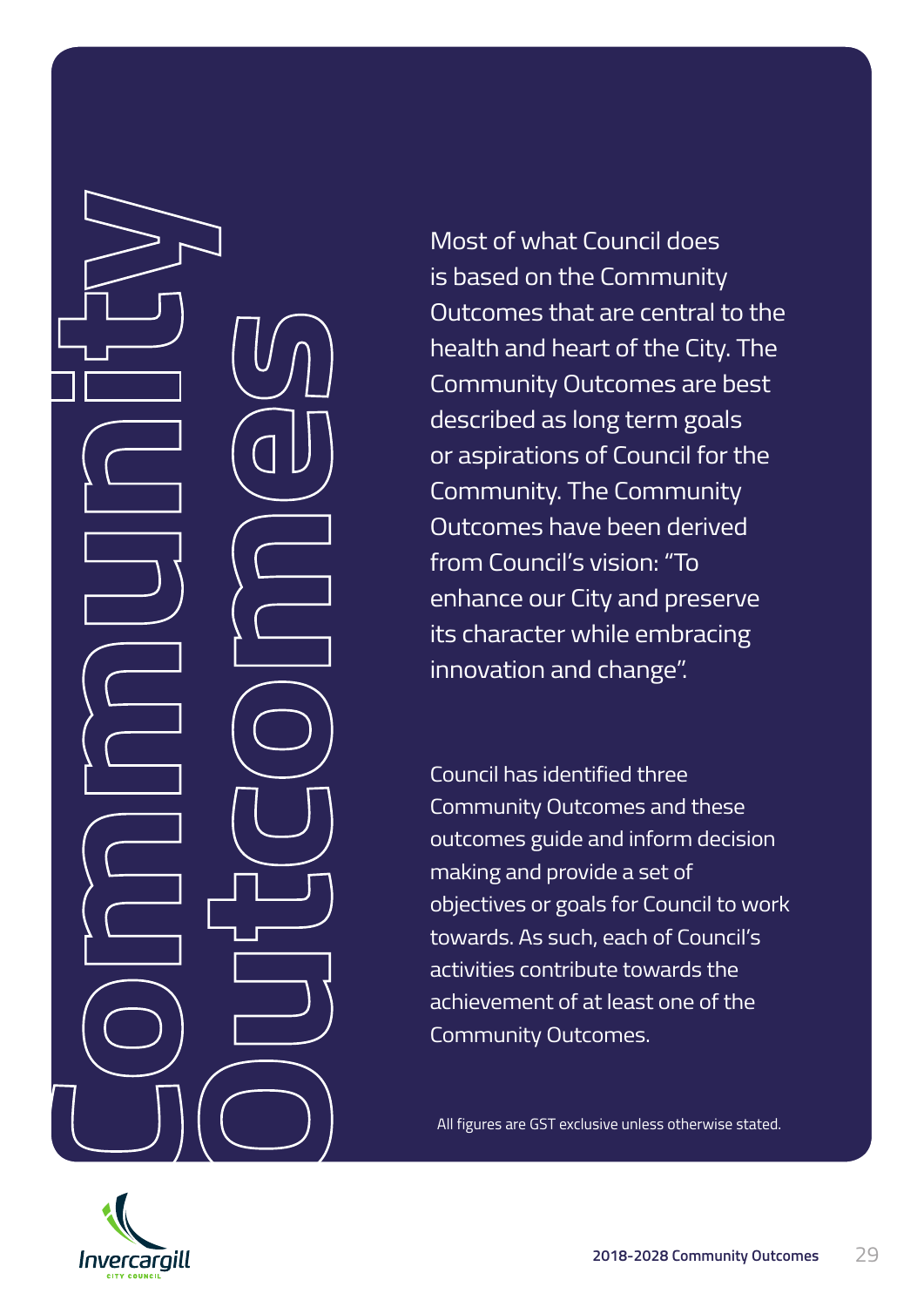Most of what Council does is based on the Community Outcomes that are central to the health and heart of the City. The Community Outcomes are best described as long term goals or aspirations of Council for the Community. The Community Outcomes have been derived from Council's vision: "To enhance our City and preserve its character while embracing innovation and change".

Council has identified three Community Outcomes and these outcomes guide and inform decision making and provide a set of objectives or goals for Council to work towards. As such, each of Council's activities contribute towards the achievement of at least one of the Community Outcomes.

All figures are GST exclusive unless otherwise stated.

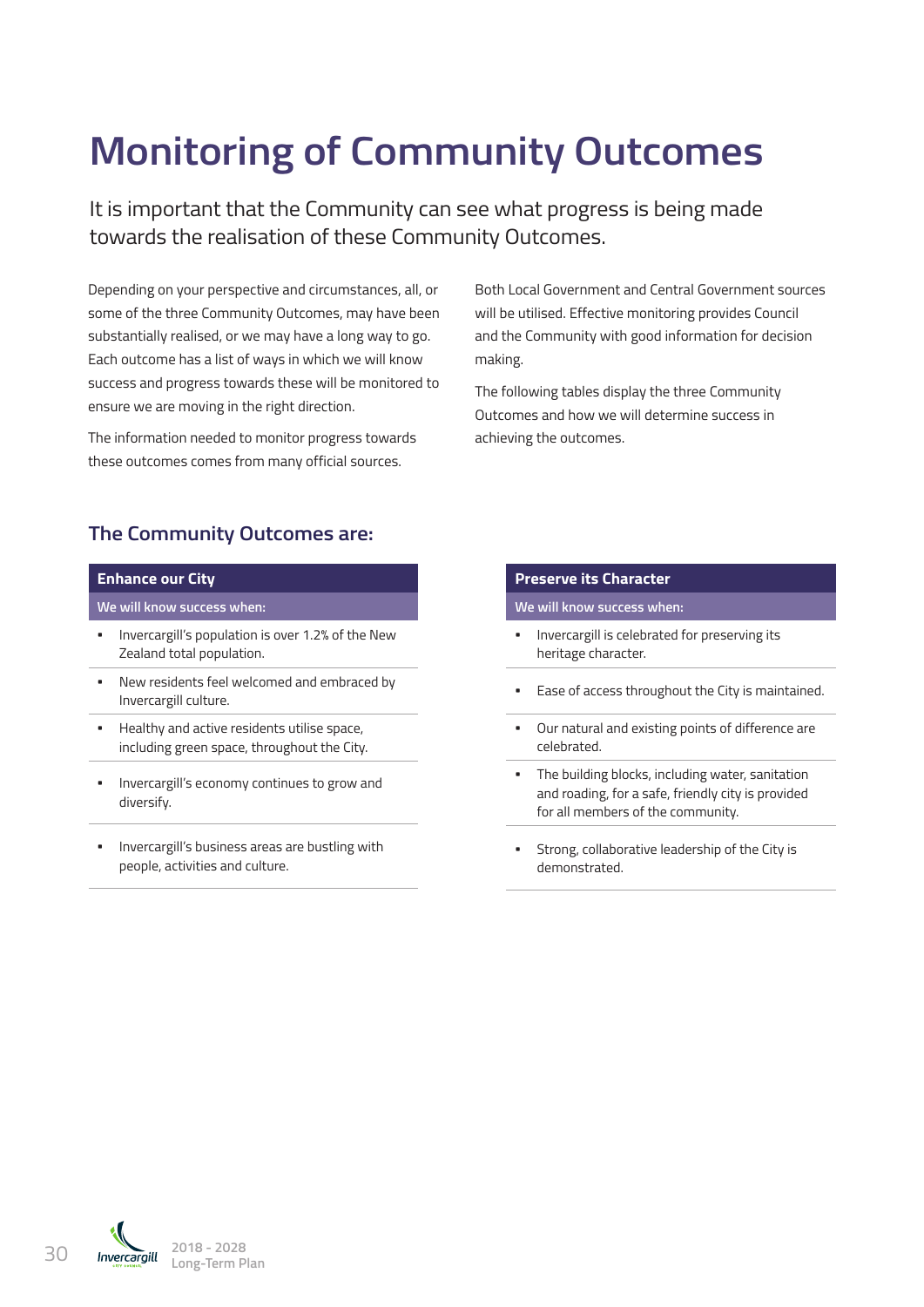# **Monitoring of Community Outcomes**

It is important that the Community can see what progress is being made towards the realisation of these Community Outcomes.

Depending on your perspective and circumstances, all, or some of the three Community Outcomes, may have been substantially realised, or we may have a long way to go. Each outcome has a list of ways in which we will know success and progress towards these will be monitored to ensure we are moving in the right direction.

The information needed to monitor progress towards these outcomes comes from many official sources.

Both Local Government and Central Government sources will be utilised. Effective monitoring provides Council and the Community with good information for decision making.

The following tables display the three Community Outcomes and how we will determine success in achieving the outcomes.

# **The Community Outcomes are:**

### **Enhance our City**

**We will know success when:**

- **•** Invercargill's population is over 1.2% of the New Zealand total population.
- **•** New residents feel welcomed and embraced by Invercargill culture.
- **•** Healthy and active residents utilise space, including green space, throughout the City.
- **•** Invercargill's economy continues to grow and diversify.
- **•** Invercargill's business areas are bustling with people, activities and culture.

#### **Preserve its Character**

**We will know success when:**

- **•** Invercargill is celebrated for preserving its heritage character.
- **•** Ease of access throughout the City is maintained.
- **•** Our natural and existing points of difference are celebrated.
- **•** The building blocks, including water, sanitation and roading, for a safe, friendly city is provided for all members of the community.
- **•** Strong, collaborative leadership of the City is demonstrated.

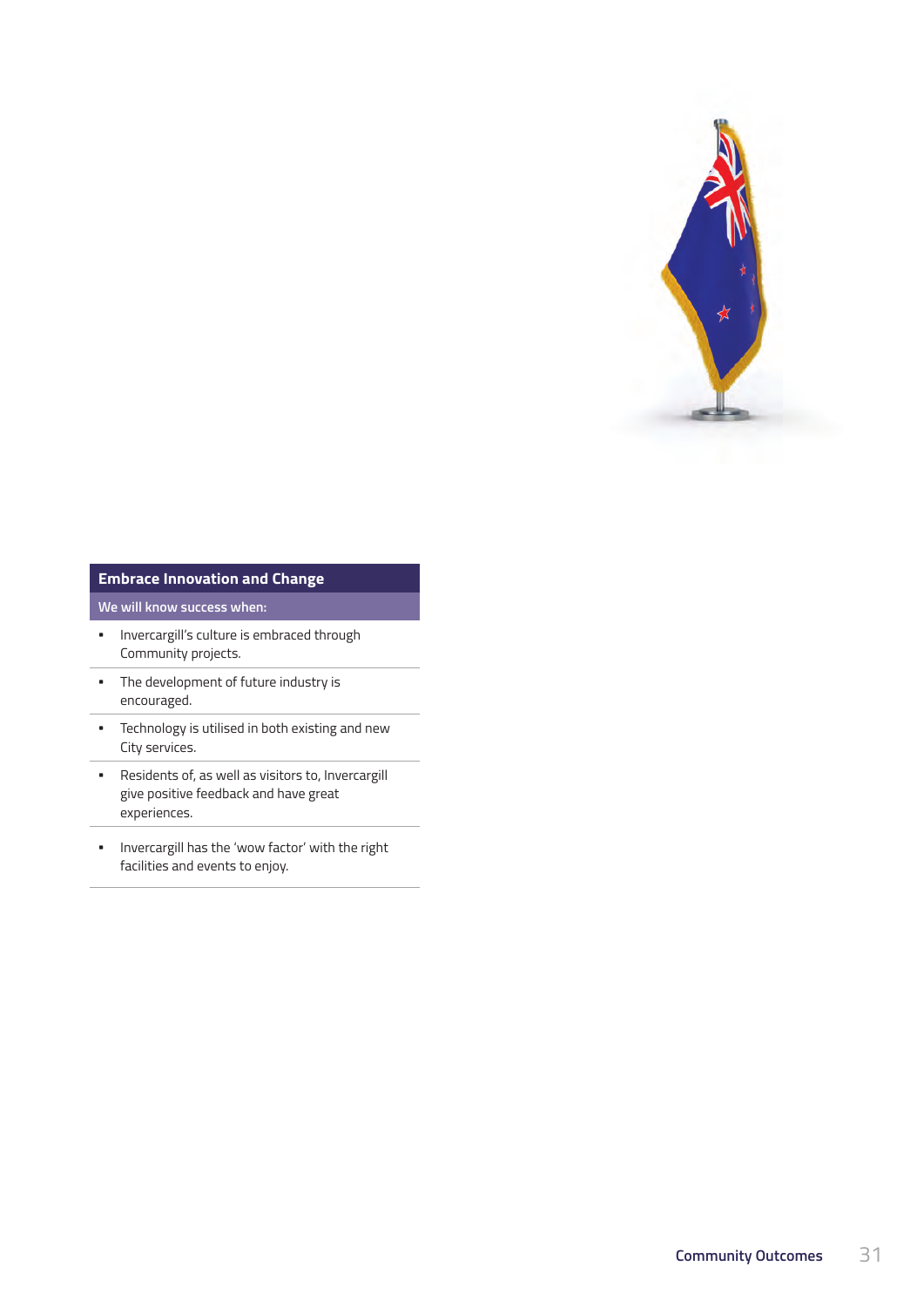

## **Embrace Innovation and Change**

## **We will know success when:**

- **•** Invercargill's culture is embraced through Community projects.
- **•** The development of future industry is encouraged.
- **•** Technology is utilised in both existing and new City services.
- **•** Residents of, as well as visitors to, Invercargill give positive feedback and have great experiences.
- **•** Invercargill has the 'wow factor' with the right facilities and events to enjoy.